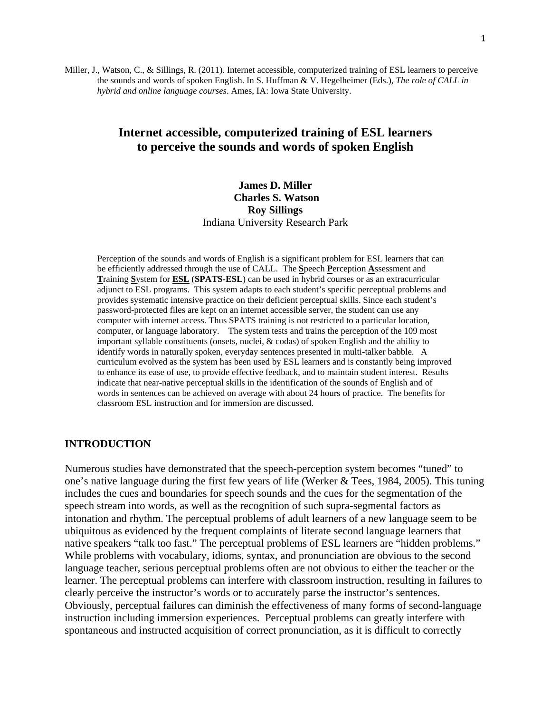Miller, J., Watson, C., & Sillings, R. (2011). Internet accessible, computerized training of ESL learners to perceive the sounds and words of spoken English. In S. Huffman & V. Hegelheimer (Eds.), *The role of CALL in hybrid and online language courses*. Ames, IA: Iowa State University.

# **Internet accessible, computerized training of ESL learners to perceive the sounds and words of spoken English**

# **James D. Miller Charles S. Watson Roy Sillings**  Indiana University Research Park

Perception of the sounds and words of English is a significant problem for ESL learners that can be efficiently addressed through the use of CALL. The **S**peech **P**erception **A**ssessment and **T**raining **S**ystem for **ESL** (**SPATS-ESL**) can be used in hybrid courses or as an extracurricular adjunct to ESL programs. This system adapts to each student's specific perceptual problems and provides systematic intensive practice on their deficient perceptual skills. Since each student's password-protected files are kept on an internet accessible server, the student can use any computer with internet access. Thus SPATS training is not restricted to a particular location, computer, or language laboratory. The system tests and trains the perception of the 109 most important syllable constituents (onsets, nuclei, & codas) of spoken English and the ability to identify words in naturally spoken, everyday sentences presented in multi-talker babble. A curriculum evolved as the system has been used by ESL learners and is constantly being improved to enhance its ease of use, to provide effective feedback, and to maintain student interest. Results indicate that near-native perceptual skills in the identification of the sounds of English and of words in sentences can be achieved on average with about 24 hours of practice. The benefits for classroom ESL instruction and for immersion are discussed.

### **INTRODUCTION**

Numerous studies have demonstrated that the speech-perception system becomes "tuned" to one's native language during the first few years of life (Werker & Tees, 1984, 2005). This tuning includes the cues and boundaries for speech sounds and the cues for the segmentation of the speech stream into words, as well as the recognition of such supra-segmental factors as intonation and rhythm. The perceptual problems of adult learners of a new language seem to be ubiquitous as evidenced by the frequent complaints of literate second language learners that native speakers "talk too fast." The perceptual problems of ESL learners are "hidden problems." While problems with vocabulary, idioms, syntax, and pronunciation are obvious to the second language teacher, serious perceptual problems often are not obvious to either the teacher or the learner. The perceptual problems can interfere with classroom instruction, resulting in failures to clearly perceive the instructor's words or to accurately parse the instructor's sentences. Obviously, perceptual failures can diminish the effectiveness of many forms of second-language instruction including immersion experiences. Perceptual problems can greatly interfere with spontaneous and instructed acquisition of correct pronunciation, as it is difficult to correctly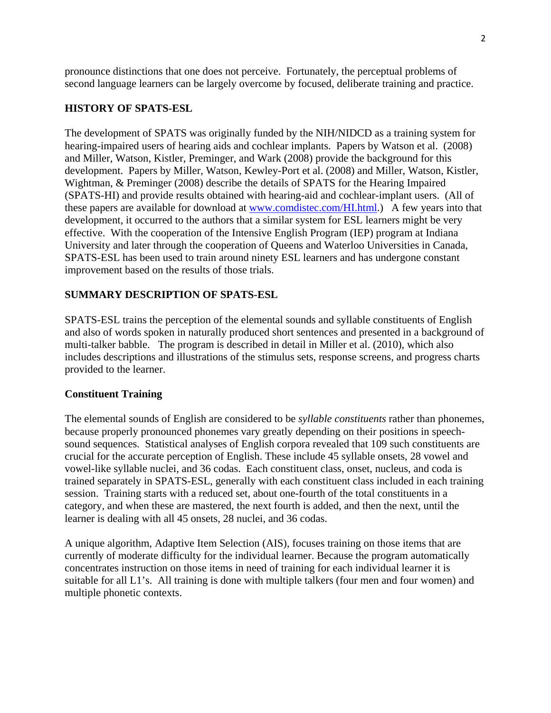pronounce distinctions that one does not perceive. Fortunately, the perceptual problems of second language learners can be largely overcome by focused, deliberate training and practice.

# **HISTORY OF SPATS-ESL**

The development of SPATS was originally funded by the NIH/NIDCD as a training system for hearing-impaired users of hearing aids and cochlear implants. Papers by Watson et al. (2008) and Miller, Watson, Kistler, Preminger, and Wark (2008) provide the background for this development. Papers by Miller, Watson, Kewley-Port et al. (2008) and Miller, Watson, Kistler, Wightman, & Preminger (2008) describe the details of SPATS for the Hearing Impaired (SPATS-HI) and provide results obtained with hearing-aid and cochlear-implant users. (All of these papers are available for download at www.comdistec.com/HI.html.) A few years into that development, it occurred to the authors that a similar system for ESL learners might be very effective. With the cooperation of the Intensive English Program (IEP) program at Indiana University and later through the cooperation of Queens and Waterloo Universities in Canada, SPATS-ESL has been used to train around ninety ESL learners and has undergone constant improvement based on the results of those trials.

## **SUMMARY DESCRIPTION OF SPATS-ESL**

SPATS-ESL trains the perception of the elemental sounds and syllable constituents of English and also of words spoken in naturally produced short sentences and presented in a background of multi-talker babble. The program is described in detail in Miller et al. (2010), which also includes descriptions and illustrations of the stimulus sets, response screens, and progress charts provided to the learner.

### **Constituent Training**

The elemental sounds of English are considered to be *syllable constituents* rather than phonemes, because properly pronounced phonemes vary greatly depending on their positions in speechsound sequences. Statistical analyses of English corpora revealed that 109 such constituents are crucial for the accurate perception of English. These include 45 syllable onsets, 28 vowel and vowel-like syllable nuclei, and 36 codas. Each constituent class, onset, nucleus, and coda is trained separately in SPATS-ESL, generally with each constituent class included in each training session. Training starts with a reduced set, about one-fourth of the total constituents in a category, and when these are mastered, the next fourth is added, and then the next, until the learner is dealing with all 45 onsets, 28 nuclei, and 36 codas.

A unique algorithm, Adaptive Item Selection (AIS), focuses training on those items that are currently of moderate difficulty for the individual learner. Because the program automatically concentrates instruction on those items in need of training for each individual learner it is suitable for all L1's. All training is done with multiple talkers (four men and four women) and multiple phonetic contexts.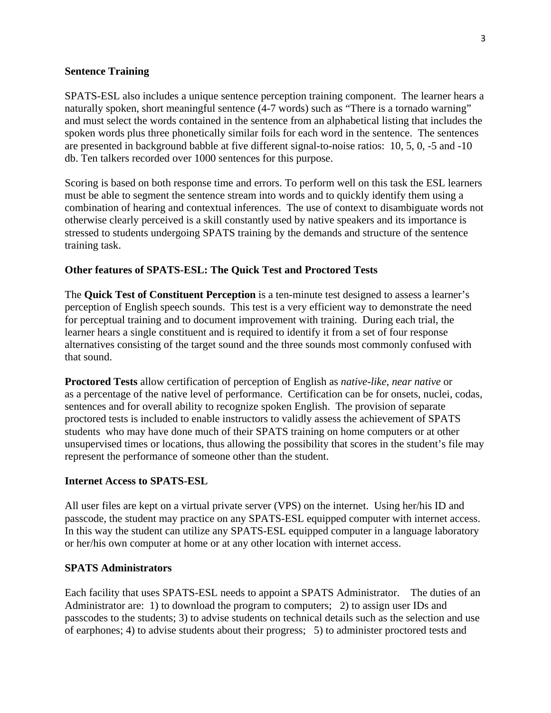## **Sentence Training**

SPATS-ESL also includes a unique sentence perception training component. The learner hears a naturally spoken, short meaningful sentence (4-7 words) such as "There is a tornado warning" and must select the words contained in the sentence from an alphabetical listing that includes the spoken words plus three phonetically similar foils for each word in the sentence. The sentences are presented in background babble at five different signal-to-noise ratios: 10, 5, 0, -5 and -10 db. Ten talkers recorded over 1000 sentences for this purpose.

Scoring is based on both response time and errors. To perform well on this task the ESL learners must be able to segment the sentence stream into words and to quickly identify them using a combination of hearing and contextual inferences. The use of context to disambiguate words not otherwise clearly perceived is a skill constantly used by native speakers and its importance is stressed to students undergoing SPATS training by the demands and structure of the sentence training task.

## **Other features of SPATS-ESL: The Quick Test and Proctored Tests**

The **Quick Test of Constituent Perception** is a ten-minute test designed to assess a learner's perception of English speech sounds. This test is a very efficient way to demonstrate the need for perceptual training and to document improvement with training. During each trial, the learner hears a single constituent and is required to identify it from a set of four response alternatives consisting of the target sound and the three sounds most commonly confused with that sound.

**Proctored Tests** allow certification of perception of English as *native-like*, *near native* or as a percentage of the native level of performance. Certification can be for onsets, nuclei, codas, sentences and for overall ability to recognize spoken English. The provision of separate proctored tests is included to enable instructors to validly assess the achievement of SPATS students who may have done much of their SPATS training on home computers or at other unsupervised times or locations, thus allowing the possibility that scores in the student's file may represent the performance of someone other than the student.

## **Internet Access to SPATS-ESL**

All user files are kept on a virtual private server (VPS) on the internet. Using her/his ID and passcode, the student may practice on any SPATS-ESL equipped computer with internet access. In this way the student can utilize any SPATS-ESL equipped computer in a language laboratory or her/his own computer at home or at any other location with internet access.

## **SPATS Administrators**

Each facility that uses SPATS-ESL needs to appoint a SPATS Administrator. The duties of an Administrator are: 1) to download the program to computers; 2) to assign user IDs and passcodes to the students; 3) to advise students on technical details such as the selection and use of earphones; 4) to advise students about their progress; 5) to administer proctored tests and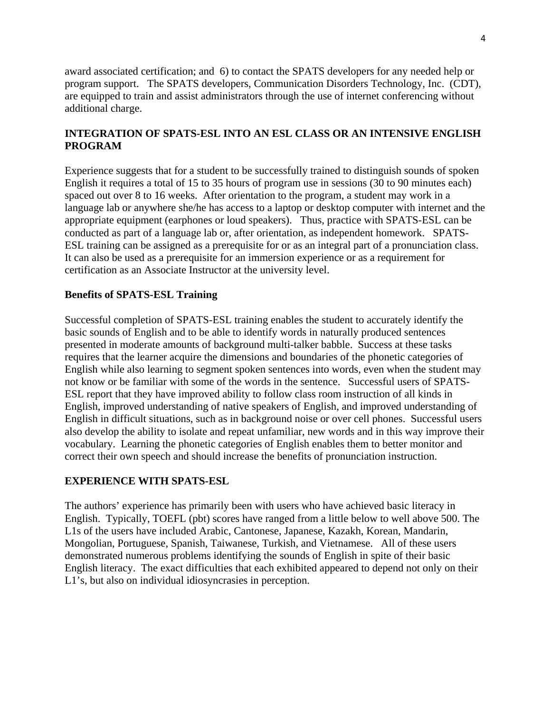award associated certification; and 6) to contact the SPATS developers for any needed help or program support. The SPATS developers, Communication Disorders Technology, Inc. (CDT), are equipped to train and assist administrators through the use of internet conferencing without additional charge.

# **INTEGRATION OF SPATS-ESL INTO AN ESL CLASS OR AN INTENSIVE ENGLISH PROGRAM**

Experience suggests that for a student to be successfully trained to distinguish sounds of spoken English it requires a total of 15 to 35 hours of program use in sessions (30 to 90 minutes each) spaced out over 8 to 16 weeks. After orientation to the program, a student may work in a language lab or anywhere she/he has access to a laptop or desktop computer with internet and the appropriate equipment (earphones or loud speakers). Thus, practice with SPATS-ESL can be conducted as part of a language lab or, after orientation, as independent homework. SPATS-ESL training can be assigned as a prerequisite for or as an integral part of a pronunciation class. It can also be used as a prerequisite for an immersion experience or as a requirement for certification as an Associate Instructor at the university level.

## **Benefits of SPATS-ESL Training**

Successful completion of SPATS-ESL training enables the student to accurately identify the basic sounds of English and to be able to identify words in naturally produced sentences presented in moderate amounts of background multi-talker babble. Success at these tasks requires that the learner acquire the dimensions and boundaries of the phonetic categories of English while also learning to segment spoken sentences into words, even when the student may not know or be familiar with some of the words in the sentence. Successful users of SPATS-ESL report that they have improved ability to follow class room instruction of all kinds in English, improved understanding of native speakers of English, and improved understanding of English in difficult situations, such as in background noise or over cell phones. Successful users also develop the ability to isolate and repeat unfamiliar, new words and in this way improve their vocabulary. Learning the phonetic categories of English enables them to better monitor and correct their own speech and should increase the benefits of pronunciation instruction.

### **EXPERIENCE WITH SPATS-ESL**

The authors' experience has primarily been with users who have achieved basic literacy in English. Typically, TOEFL (pbt) scores have ranged from a little below to well above 500. The L1s of the users have included Arabic, Cantonese, Japanese, Kazakh, Korean, Mandarin, Mongolian, Portuguese, Spanish, Taiwanese, Turkish, and Vietnamese. All of these users demonstrated numerous problems identifying the sounds of English in spite of their basic English literacy. The exact difficulties that each exhibited appeared to depend not only on their L1's, but also on individual idiosyncrasies in perception.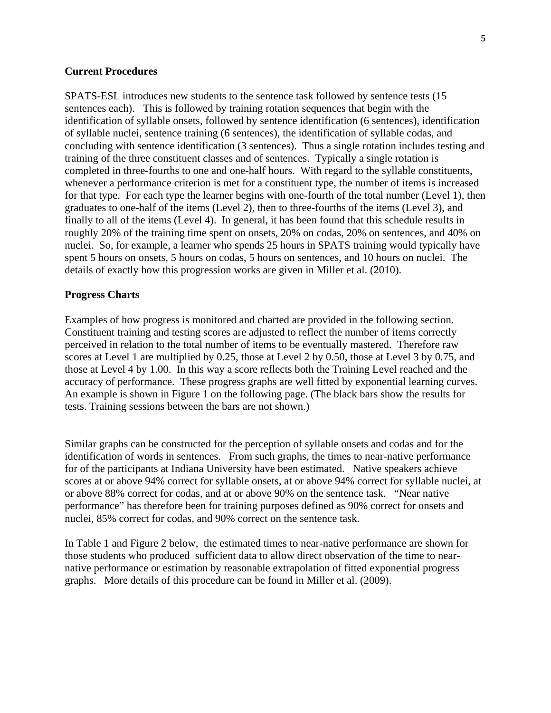### **Current Procedures**

SPATS-ESL introduces new students to the sentence task followed by sentence tests (15 sentences each). This is followed by training rotation sequences that begin with the identification of syllable onsets, followed by sentence identification (6 sentences), identification of syllable nuclei, sentence training (6 sentences), the identification of syllable codas, and concluding with sentence identification (3 sentences). Thus a single rotation includes testing and training of the three constituent classes and of sentences. Typically a single rotation is completed in three-fourths to one and one-half hours. With regard to the syllable constituents, whenever a performance criterion is met for a constituent type, the number of items is increased for that type. For each type the learner begins with one-fourth of the total number (Level 1), then graduates to one-half of the items (Level 2), then to three-fourths of the items (Level 3), and finally to all of the items (Level 4). In general, it has been found that this schedule results in roughly 20% of the training time spent on onsets, 20% on codas, 20% on sentences, and 40% on nuclei. So, for example, a learner who spends 25 hours in SPATS training would typically have spent 5 hours on onsets, 5 hours on codas, 5 hours on sentences, and 10 hours on nuclei. The details of exactly how this progression works are given in Miller et al. (2010).

#### **Progress Charts**

Examples of how progress is monitored and charted are provided in the following section. Constituent training and testing scores are adjusted to reflect the number of items correctly perceived in relation to the total number of items to be eventually mastered. Therefore raw scores at Level 1 are multiplied by 0.25, those at Level 2 by 0.50, those at Level 3 by 0.75, and those at Level 4 by 1.00. In this way a score reflects both the Training Level reached and the accuracy of performance. These progress graphs are well fitted by exponential learning curves. An example is shown in Figure 1 on the following page. (The black bars show the results for tests. Training sessions between the bars are not shown.)

Similar graphs can be constructed for the perception of syllable onsets and codas and for the identification of words in sentences. From such graphs, the times to near-native performance for of the participants at Indiana University have been estimated. Native speakers achieve scores at or above 94% correct for syllable onsets, at or above 94% correct for syllable nuclei, at or above 88% correct for codas, and at or above 90% on the sentence task. "Near native performance" has therefore been for training purposes defined as 90% correct for onsets and nuclei, 85% correct for codas, and 90% correct on the sentence task.

In Table 1 and Figure 2 below, the estimated times to near-native performance are shown for those students who produced sufficient data to allow direct observation of the time to nearnative performance or estimation by reasonable extrapolation of fitted exponential progress graphs. More details of this procedure can be found in Miller et al. (2009).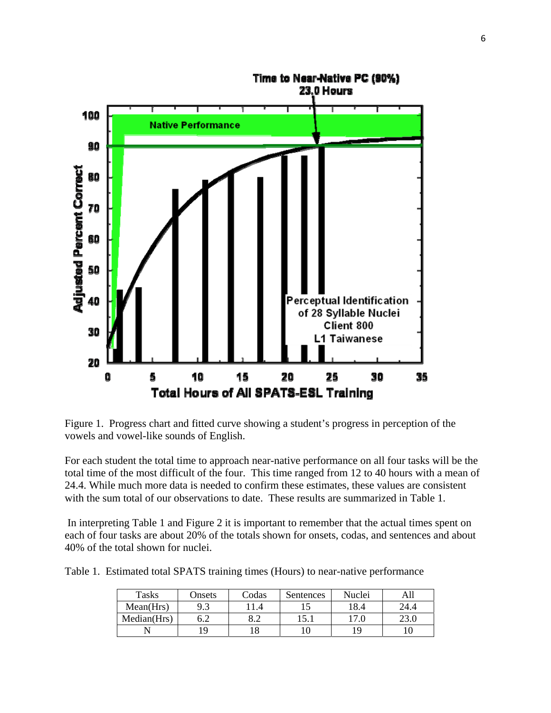

Figure 1. Progress chart and fitted curve showing a student's progress in perception of the vowels and vowel-like sounds of English.

For each student the total time to approach near-native performance on all four tasks will be the total time of the most difficult of the four. This time ranged from 12 to 40 hours with a mean of 24.4. While much more data is needed to confirm these estimates, these values are consistent with the sum total of our observations to date. These results are summarized in Table 1.

 In interpreting Table 1 and Figure 2 it is important to remember that the actual times spent on each of four tasks are about 20% of the totals shown for onsets, codas, and sentences and about 40% of the total shown for nuclei.

Table 1. Estimated total SPATS training times (Hours) to near-native performance

| Tasks       | Onsets         | Codas           | Sentences | Nuclei |      |
|-------------|----------------|-----------------|-----------|--------|------|
| Mean(Hrs)   | Q <sub>2</sub> |                 |           | 18.4   | 24.4 |
| Median(Hrs) | 6.2            | $\circ$ $\circ$ | 15.       | .7.0   |      |
|             | ١q             |                 |           | 19     |      |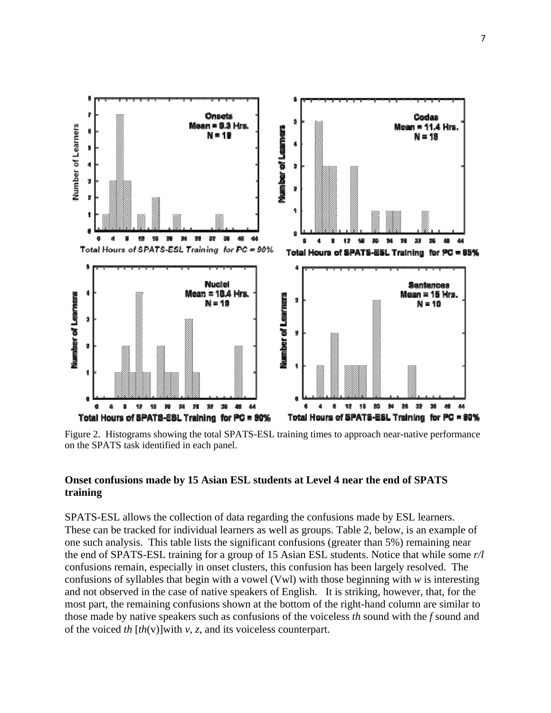

Figure 2. Histograms showing the total SPATS-ESL training times to approach near-native performance on the SPATS task identified in each panel.

# **Onset confusions made by 15 Asian ESL students at Level 4 near the end of SPATS training**

SPATS-ESL allows the collection of data regarding the confusions made by ESL learners. These can be tracked for individual learners as well as groups. Table 2, below, is an example of one such analysis. This table lists the significant confusions (greater than 5%) remaining near the end of SPATS-ESL training for a group of 15 Asian ESL students. Notice that while some *r/l* confusions remain, especially in onset clusters, this confusion has been largely resolved. The confusions of syllables that begin with a vowel (Vwl) with those beginning with *w* is interesting and not observed in the case of native speakers of English. It is striking, however, that, for the most part, the remaining confusions shown at the bottom of the right-hand column are similar to those made by native speakers such as confusions of the voiceless *th* sound with the *f* sound and of the voiced *th* [*th*(v)]with *v, z,* and its voiceless counterpart.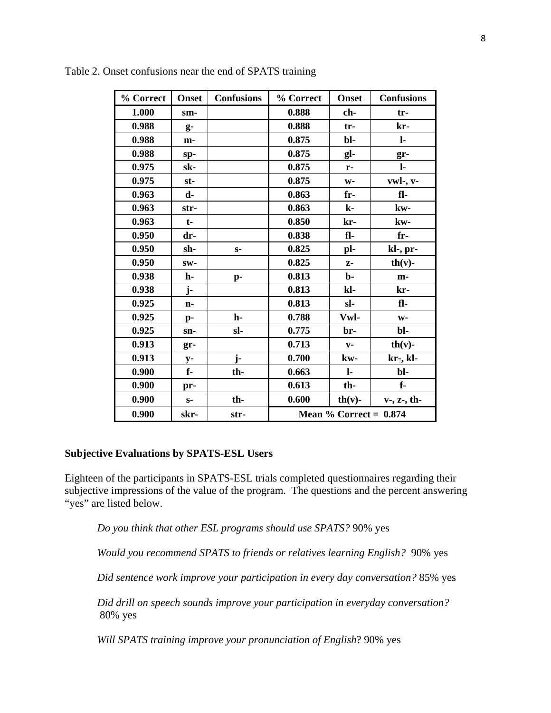| % Correct | <b>Onset</b>   | <b>Confusions</b> | % Correct                 | <b>Onset</b>   | <b>Confusions</b> |
|-----------|----------------|-------------------|---------------------------|----------------|-------------------|
| 1.000     | sm-            |                   | 0.888                     | ch-            | tr-               |
| 0.988     | g-             |                   | 0.888                     | tr-            | kr-               |
| 0.988     | m-             |                   | 0.875                     | bl-            | $\mathbf{l}$      |
| 0.988     | sp-            |                   | 0.875                     | gl-            | gr-               |
| 0.975     | sk-            |                   | 0.875                     | $r-$           | $\mathbf{l}$      |
| 0.975     | st-            |                   | 0.875                     | $W -$          | vwl-, v-          |
| 0.963     | d-             |                   | 0.863                     | fr-            | fl-               |
| 0.963     | str-           |                   | 0.863                     | $\mathbf{k}$ - | kw-               |
| 0.963     | $t-$           |                   | 0.850                     | kr-            | kw-               |
| 0.950     | dr-            |                   | 0.838                     | fl-            | fr-               |
| 0.950     | sh-            | $S-$              | 0.825                     | pl-            | kl-, pr-          |
| 0.950     | SW-            |                   | 0.825                     | $Z-$           | $th(v)$ -         |
| 0.938     | h-             | p-                | 0.813                     | $b$            | m-                |
| 0.938     | j-             |                   | 0.813                     | kl-            | kr-               |
| 0.925     | n-             |                   | 0.813                     | sl-            | fl-               |
| 0.925     | $\mathbf{p}$ - | h-                | 0.788                     | Vwl-           | $W -$             |
| 0.925     | sn-            | sl-               | 0.775                     | br-            | bl-               |
| 0.913     | gr-            |                   | 0.713                     | $V -$          | $th(v)$ -         |
| 0.913     | $y-$           | j-                | 0.700                     | kw-            | kr-, kl-          |
| 0.900     | f-             | th-               | 0.663                     | $\mathbf{l}$   | bl-               |
| 0.900     | pr-            |                   | 0.613                     | th-            | $f -$             |
| 0.900     | $S-$           | th-               | 0.600                     | $th(v)$ -      | $v-$ , $z-$ , th- |
| 0.900     | skr-           | str-              | Mean $\%$ Correct = 0.874 |                |                   |

Table 2. Onset confusions near the end of SPATS training

## **Subjective Evaluations by SPATS-ESL Users**

Eighteen of the participants in SPATS-ESL trials completed questionnaires regarding their subjective impressions of the value of the program. The questions and the percent answering "yes" are listed below.

*Do you think that other ESL programs should use SPATS?* 90% yes

*Would you recommend SPATS to friends or relatives learning English?* 90% yes

*Did sentence work improve your participation in every day conversation?* 85% yes

*Did drill on speech sounds improve your participation in everyday conversation?* 80% yes

*Will SPATS training improve your pronunciation of English*? 90% yes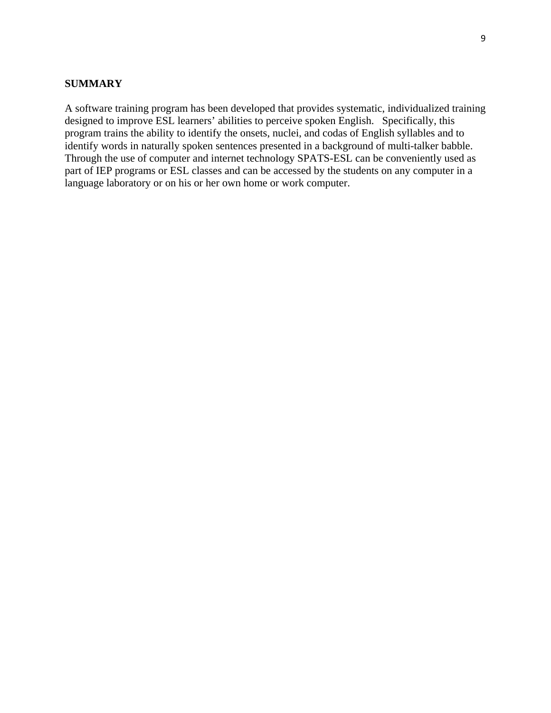## **SUMMARY**

A software training program has been developed that provides systematic, individualized training designed to improve ESL learners' abilities to perceive spoken English. Specifically, this program trains the ability to identify the onsets, nuclei, and codas of English syllables and to identify words in naturally spoken sentences presented in a background of multi-talker babble. Through the use of computer and internet technology SPATS-ESL can be conveniently used as part of IEP programs or ESL classes and can be accessed by the students on any computer in a language laboratory or on his or her own home or work computer.